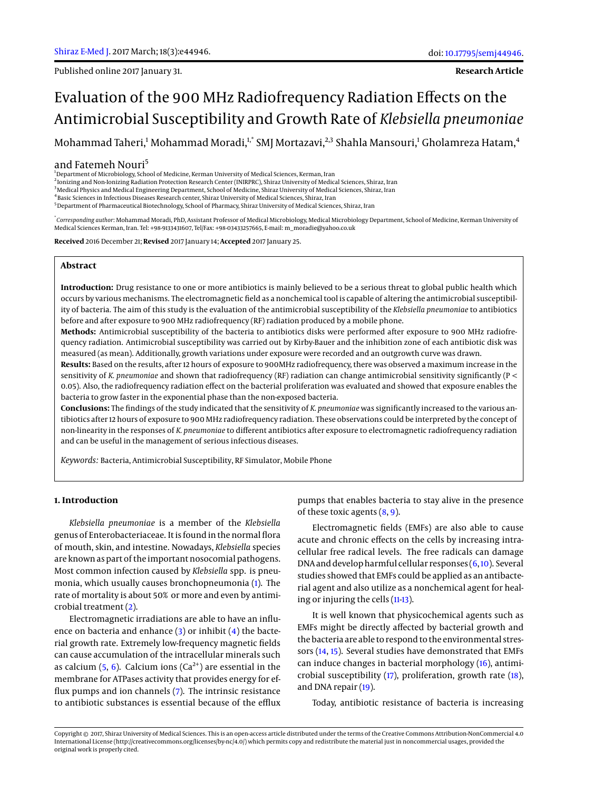Published online 2017 January 31.

**Research Article**

# Evaluation of the 900 MHz Radiofrequency Radiation Effects on the Antimicrobial Susceptibility and Growth Rate of *Klebsiella pneumoniae*

Mohammad Taheri,<sup>1</sup> Mohammad Moradi,<sup>1,\*</sup> SMJ Mortazavi,<sup>2,3</sup> Shahla Mansouri,<sup>1</sup> Gholamreza Hatam,<sup>4</sup>

## and Fatemeh Nouri<sup>5</sup>

<sup>1</sup>Department of Microbiology, School of Medicine, Kerman University of Medical Sciences, Kerman, Iran

2 Ionizing and Non-Ionizing Radiation Protection Research Center (INIRPRC), Shiraz University of Medical Sciences, Shiraz, Iran

<sup>3</sup>Medical Physics and Medical Engineering Department, School of Medicine, Shiraz University of Medical Sciences, Shiraz, Iran

4 Basic Sciences in Infectious Diseases Research center, Shiraz University of Medical Sciences, Shiraz, Iran

<sup>5</sup> Department of Pharmaceutical Biotechnology, School of Pharmacy, Shiraz University of Medical Sciences, Shiraz, Iran

\* *Corresponding author*: Mohammad Moradi, PhD, Assistant Professor of Medical Microbiology, Medical Microbiology Department, School of Medicine, Kerman University of Medical Sciences Kerman, Iran. Tel: +98-9133431607, Tel/Fax: +98-03433257665, E-mail: m\_moradie@yahoo.co.uk

**Received** 2016 December 21; **Revised** 2017 January 14; **Accepted** 2017 January 25.

# **Abstract**

**Introduction:** Drug resistance to one or more antibiotics is mainly believed to be a serious threat to global public health which occurs by various mechanisms. The electromagnetic field as a nonchemical tool is capable of altering the antimicrobial susceptibility of bacteria. The aim of this study is the evaluation of the antimicrobial susceptibility of the *Klebsiella pneumoniae* to antibiotics before and after exposure to 900 MHz radiofrequency (RF) radiation produced by a mobile phone.

**Methods:** Antimicrobial susceptibility of the bacteria to antibiotics disks were performed after exposure to 900 MHz radiofrequency radiation. Antimicrobial susceptibility was carried out by Kirby-Bauer and the inhibition zone of each antibiotic disk was measured (as mean). Additionally, growth variations under exposure were recorded and an outgrowth curve was drawn.

**Results:** Based on the results, after 12 hours of exposure to 900MHz radiofrequency, there was observed a maximum increase in the sensitivity of *K. pneumoniae* and shown that radiofrequency (RF) radiation can change antimicrobial sensitivity significantly (P < 0.05). Also, the radiofrequency radiation effect on the bacterial proliferation was evaluated and showed that exposure enables the bacteria to grow faster in the exponential phase than the non-exposed bacteria.

**Conclusions:** The findings of the study indicated that the sensitivity of *K. pneumoniae* was significantly increased to the various antibiotics after 12 hours of exposure to 900 MHz radiofrequency radiation. These observations could be interpreted by the concept of non-linearity in the responses of *K. pneumoniae* to different antibiotics after exposure to electromagnetic radiofrequency radiation and can be useful in the management of serious infectious diseases.

*Keywords:* Bacteria, Antimicrobial Susceptibility, RF Simulator, Mobile Phone

## **1. Introduction**

*Klebsiella pneumoniae* is a member of the *Klebsiella* genus of Enterobacteriaceae. It is found in the normal flora of mouth, skin, and intestine. Nowadays, *Klebsiella* species are known as part of the important nosocomial pathogens. Most common infection caused by *Klebsiella* spp. is pneumonia, which usually causes bronchopneumonia [\(1\)](#page-5-0). The rate of mortality is about 50% or more and even by antimicrobial treatment [\(2\)](#page-5-1).

Electromagnetic irradiations are able to have an influence on bacteria and enhance [\(3\)](#page-5-2) or inhibit [\(4\)](#page-5-3) the bacterial growth rate. Extremely low-frequency magnetic fields can cause accumulation of the intracellular minerals such as calcium  $(5, 6)$  $(5, 6)$  $(5, 6)$ . Calcium ions  $(Ca^{2+})$  are essential in the membrane for ATPases activity that provides energy for efflux pumps and ion channels [\(7\)](#page-5-6). The intrinsic resistance to antibiotic substances is essential because of the efflux

pumps that enables bacteria to stay alive in the presence of these toxic agents [\(8,](#page-5-7) [9\)](#page-5-8).

Electromagnetic fields (EMFs) are also able to cause acute and chronic effects on the cells by increasing intracellular free radical levels. The free radicals can damage DNA and develop harmful cellular responses [\(6,](#page-5-5)[10\)](#page-5-9). Several studies showed that EMFs could be applied as an antibacterial agent and also utilize as a nonchemical agent for healing or injuring the cells [\(11-](#page-5-10)[13\)](#page-5-11).

It is well known that physicochemical agents such as EMFs might be directly affected by bacterial growth and the bacteria are able to respond to the environmental stressors [\(14,](#page-5-12) [15\)](#page-5-13). Several studies have demonstrated that EMFs can induce changes in bacterial morphology [\(16\)](#page-5-14), antimicrobial susceptibility [\(17\)](#page-5-15), proliferation, growth rate [\(18\)](#page-5-16), and DNA repair [\(19\)](#page-5-17).

Today, antibiotic resistance of bacteria is increasing

Copyright © 2017, Shiraz University of Medical Sciences. This is an open-access article distributed under the terms of the Creative Commons Attribution-NonCommercial 4.0 International License (http://creativecommons.org/licenses/by-nc/4.0/) which permits copy and redistribute the material just in noncommercial usages, provided the original work is properly cited.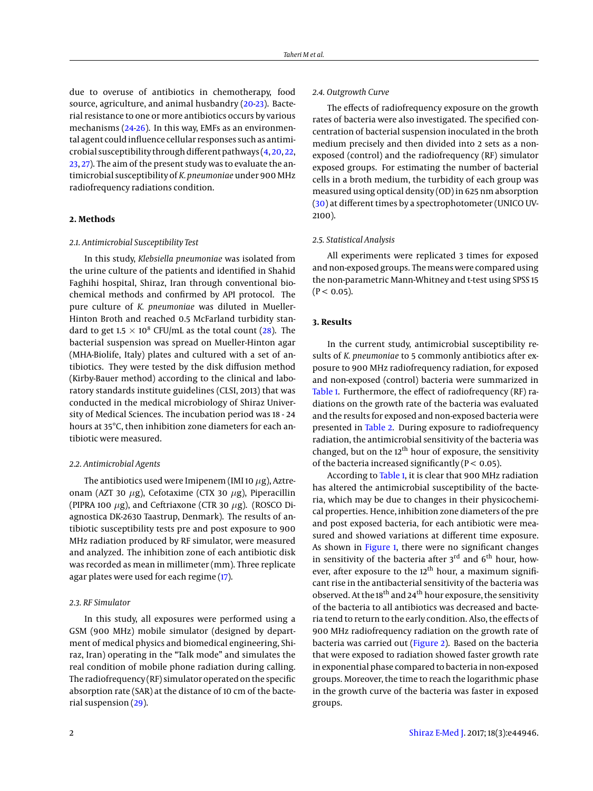due to overuse of antibiotics in chemotherapy, food source, agriculture, and animal husbandry [\(20-](#page-5-18)[23\)](#page-5-19). Bacterial resistance to one or more antibiotics occurs by various mechanisms [\(24](#page-5-20)[-26\)](#page-5-21). In this way, EMFs as an environmental agent could influence cellular responses such as antimicrobial susceptibility through different pathways [\(4,](#page-5-3) [20,](#page-5-18) [22,](#page-5-22) [23,](#page-5-19) [27\)](#page-5-23). The aim of the present study was to evaluate the antimicrobial susceptibility of *K. pneumoniae* under 900 MHz radiofrequency radiations condition.

## **2. Methods**

#### *2.1. Antimicrobial Susceptibility Test*

In this study, *Klebsiella pneumoniae* was isolated from the urine culture of the patients and identified in Shahid Faghihi hospital, Shiraz, Iran through conventional biochemical methods and confirmed by API protocol. The pure culture of *K. pneumoniae* was diluted in Mueller-Hinton Broth and reached 0.5 McFarland turbidity standard to get 1.5  $\times$  10<sup>8</sup> CFU/mL as the total count [\(28\)](#page-5-24). The bacterial suspension was spread on Mueller-Hinton agar (MHA-Biolife, Italy) plates and cultured with a set of antibiotics. They were tested by the disk diffusion method (Kirby-Bauer method) according to the clinical and laboratory standards institute guidelines (CLSI, 2013) that was conducted in the medical microbiology of Shiraz University of Medical Sciences. The incubation period was 18 - 24 hours at 35°C, then inhibition zone diameters for each antibiotic were measured.

## *2.2. Antimicrobial Agents*

The antibiotics used were Imipenem (IMI 10  $\mu$ g), Aztreonam (AZT 30  $\mu$ g), Cefotaxime (CTX 30  $\mu$ g), Piperacillin (PIPRA 100  $\mu$ g), and Ceftriaxone (CTR 30  $\mu$ g). (ROSCO Diagnostica DK-2630 Taastrup, Denmark). The results of antibiotic susceptibility tests pre and post exposure to 900 MHz radiation produced by RF simulator, were measured and analyzed. The inhibition zone of each antibiotic disk was recorded as mean in millimeter (mm). Three replicate agar plates were used for each regime [\(17\)](#page-5-15).

#### *2.3. RF Simulator*

In this study, all exposures were performed using a GSM (900 MHz) mobile simulator (designed by department of medical physics and biomedical engineering, Shiraz, Iran) operating in the "Talk mode" and simulates the real condition of mobile phone radiation during calling. The radiofrequency (RF) simulator operated on the specific absorption rate (SAR) at the distance of 10 cm of the bacterial suspension [\(29\)](#page-5-25).

## *2.4. Outgrowth Curve*

The effects of radiofrequency exposure on the growth rates of bacteria were also investigated. The specified concentration of bacterial suspension inoculated in the broth medium precisely and then divided into 2 sets as a nonexposed (control) and the radiofrequency (RF) simulator exposed groups. For estimating the number of bacterial cells in a broth medium, the turbidity of each group was measured using optical density (OD) in 625 nm absorption [\(30\)](#page-5-26) at different times by a spectrophotometer (UNICO UV-2100).

## *2.5. Statistical Analysis*

All experiments were replicated 3 times for exposed and non-exposed groups. The means were compared using the non-parametric Mann-Whitney and t-test using SPSS 15  $(P < 0.05)$ .

## **3. Results**

In the current study, antimicrobial susceptibility results of *K. pneumoniae* to 5 commonly antibiotics after exposure to 900 MHz radiofrequency radiation, for exposed and non-exposed (control) bacteria were summarized in [Table 1.](#page-2-0) Furthermore, the effect of radiofrequency (RF) radiations on the growth rate of the bacteria was evaluated and the results for exposed and non-exposed bacteria were presented in [Table 2.](#page-4-0) During exposure to radiofrequency radiation, the antimicrobial sensitivity of the bacteria was changed, but on the  $12<sup>th</sup>$  hour of exposure, the sensitivity of the bacteria increased significantly ( $P < 0.05$ ).

According to [Table 1,](#page-2-0) it is clear that 900 MHz radiation has altered the antimicrobial susceptibility of the bacteria, which may be due to changes in their physicochemical properties. Hence, inhibition zone diameters of the pre and post exposed bacteria, for each antibiotic were measured and showed variations at different time exposure. As shown in [Figure 1,](#page-3-0) there were no significant changes in sensitivity of the bacteria after  $3<sup>rd</sup>$  and  $6<sup>th</sup>$  hour, however, after exposure to the  $12<sup>th</sup>$  hour, a maximum significant rise in the antibacterial sensitivity of the bacteria was observed. At the 18<sup>th</sup> and 24<sup>th</sup> hour exposure, the sensitivity of the bacteria to all antibiotics was decreased and bacteria tend to return to the early condition. Also, the effects of 900 MHz radiofrequency radiation on the growth rate of bacteria was carried out [\(Figure 2\)](#page-3-1). Based on the bacteria that were exposed to radiation showed faster growth rate in exponential phase compared to bacteria in non-exposed groups. Moreover, the time to reach the logarithmic phase in the growth curve of the bacteria was faster in exposed groups.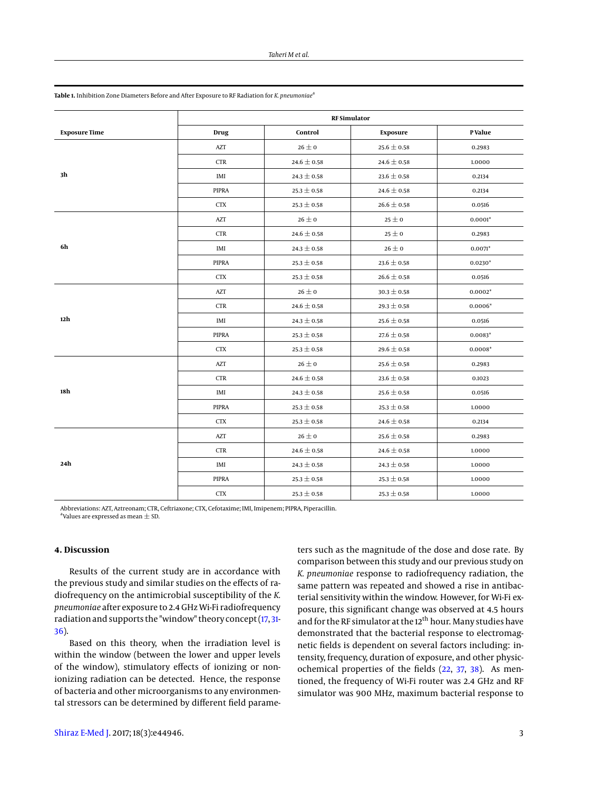|                      | <b>RF</b> Simulator         |                 |                 |           |
|----------------------|-----------------------------|-----------------|-----------------|-----------|
| <b>Exposure Time</b> | Drug                        | Control         | Exposure        | P Value   |
| 3 <sub>h</sub>       | AZT                         | $26 \pm 0$      | $25.6 \pm 0.58$ | 0.2983    |
|                      | <b>CTR</b>                  | $24.6\pm0.58$   | 24.6 $\pm$ 0.58 | 1.0000    |
|                      | IMI                         | $24.3 \pm 0.58$ | $23.6 \pm 0.58$ | 0.2134    |
|                      | PIPRA                       | $25.3 \pm 0.58$ | 24.6 $\pm$ 0.58 | 0.2134    |
|                      | <b>CTX</b>                  | $25.3 \pm 0.58$ | 26.6 $\pm$ 0.58 | 0.0516    |
| 6h                   | AZT                         | $26\pm0$        | $25 \pm 0$      | $0.0001*$ |
|                      | <b>CTR</b>                  | 24.6 $\pm$ 0.58 | $25 \pm 0$      | 0.2983    |
|                      | IMI                         | $24.3 \pm 0.58$ | $26 \pm 0$      | $0.0071*$ |
|                      | <b>PIPRA</b>                | $25.3 \pm 0.58$ | $23.6 \pm 0.58$ | $0.0230*$ |
|                      | <b>CTX</b>                  | $25.3 \pm 0.58$ | 26.6 $\pm$ 0.58 | 0.0516    |
| 12h                  | AZT                         | $26\pm0$        | $30.3 \pm 0.58$ | $0.0002*$ |
|                      | <b>CTR</b>                  | $24.6 \pm 0.58$ | $29.3 \pm 0.58$ | $0.0006*$ |
|                      | IMI                         | $24.3 \pm 0.58$ | $25.6 \pm 0.58$ | 0.0516    |
|                      | <b>PIPRA</b>                | $25.3 \pm 0.58$ | $27.6 \pm 0.58$ | $0.0083*$ |
|                      | <b>CTX</b>                  | $25.3 \pm 0.58$ | 29.6 $\pm$ 0.58 | $0.0008*$ |
| 18h                  | AZT                         | $26 \pm 0$      | $25.6 \pm 0.58$ | 0.2983    |
|                      | $\ensuremath{\mathsf{CTR}}$ | 24.6 $\pm$ 0.58 | $23.6 \pm 0.58$ | 0.1023    |
|                      | IMI                         | $24.3 \pm 0.58$ | $25.6 \pm 0.58$ | 0.0516    |
|                      | PIPRA                       | $25.3 \pm 0.58$ | $25.3 \pm 0.58$ | 1.0000    |
|                      | <b>CTX</b>                  | $25.3 \pm 0.58$ | 24.6 $\pm$ 0.58 | 0.2134    |
| 24h                  | AZT                         | $26 \pm 0$      | $25.6 \pm 0.58$ | 0.2983    |
|                      | <b>CTR</b>                  | 24.6 $\pm$ 0.58 | 24.6 $\pm$ 0.58 | 1.0000    |
|                      | IMI                         | $24.3\pm0.58$   | 24.3 $\pm$ 0.58 | 1.0000    |
|                      | <b>PIPRA</b>                | $25.3\pm0.58$   | $25.3\pm0.58$   | 1.0000    |
|                      | <b>CTX</b>                  | $25.3 \pm 0.58$ | $25.3 \pm 0.58$ | 1.0000    |

<span id="page-2-0"></span>**Table 1.** Inhibition Zone Diameters Before and After Exposure to RF Radiation for *K. pneumoniae*<sup>a</sup>

Abbreviations: AZT, Aztreonam; CTR, Ceftriaxone; CTX, Cefotaxime; IMI, Imipenem; PIPRA, Piperacillin.  $^{\rm a}$ Values are expressed as mean  $\pm$  SD.

## **4. Discussion**

Results of the current study are in accordance with the previous study and similar studies on the effects of radiofrequency on the antimicrobial susceptibility of the *K. pneumoniae* after exposure to 2.4 GHz Wi-Fi radiofrequency radiation and supports the "window" theory concept [\(17,](#page-5-15) [31-](#page-5-27) [36\)](#page-6-0).

Based on this theory, when the irradiation level is within the window (between the lower and upper levels of the window), stimulatory effects of ionizing or nonionizing radiation can be detected. Hence, the response of bacteria and other microorganisms to any environmental stressors can be determined by different field parameters such as the magnitude of the dose and dose rate. By comparison between this study and our previous study on *K. pneumoniae* response to radiofrequency radiation, the same pattern was repeated and showed a rise in antibacterial sensitivity within the window. However, for Wi-Fi exposure, this significant change was observed at 4.5 hours and for the RF simulator at the  $12<sup>th</sup>$  hour. Many studies have demonstrated that the bacterial response to electromagnetic fields is dependent on several factors including: intensity, frequency, duration of exposure, and other physicochemical properties of the fields [\(22,](#page-5-22) [37,](#page-6-1) [38\)](#page-6-2). As mentioned, the frequency of Wi-Fi router was 2.4 GHz and RF simulator was 900 MHz, maximum bacterial response to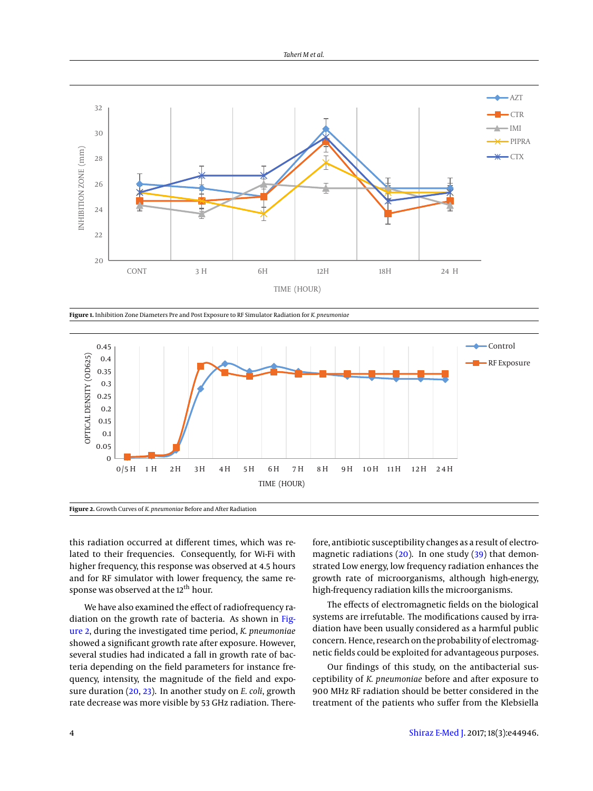<span id="page-3-0"></span>

**Figure 1.** Inhibition Zone Diameters Pre and Post Exposure to RF Simulator Radiation for *K. pneumoniae*

<span id="page-3-1"></span>

this radiation occurred at different times, which was related to their frequencies. Consequently, for Wi-Fi with higher frequency, this response was observed at 4.5 hours and for RF simulator with lower frequency, the same response was observed at the 12<sup>th</sup> hour.

We have also examined the effect of radiofrequency radiation on the growth rate of bacteria. As shown in [Fig](#page-3-1)[ure 2,](#page-3-1) during the investigated time period, *K. pneumoniae* showed a significant growth rate after exposure. However, several studies had indicated a fall in growth rate of bacteria depending on the field parameters for instance frequency, intensity, the magnitude of the field and exposure duration [\(20,](#page-5-18) [23\)](#page-5-19). In another study on *E. coli*, growth rate decrease was more visible by 53 GHz radiation. Therefore, antibiotic susceptibility changes as a result of electromagnetic radiations [\(20\)](#page-5-18). In one study [\(39\)](#page-6-3) that demonstrated Low energy, low frequency radiation enhances the growth rate of microorganisms, although high-energy, high-frequency radiation kills the microorganisms.

The effects of electromagnetic fields on the biological systems are irrefutable. The modifications caused by irradiation have been usually considered as a harmful public concern. Hence, research on the probability of electromagnetic fields could be exploited for advantageous purposes.

Our findings of this study, on the antibacterial susceptibility of *K. pneumoniae* before and after exposure to 900 MHz RF radiation should be better considered in the treatment of the patients who suffer from the Klebsiella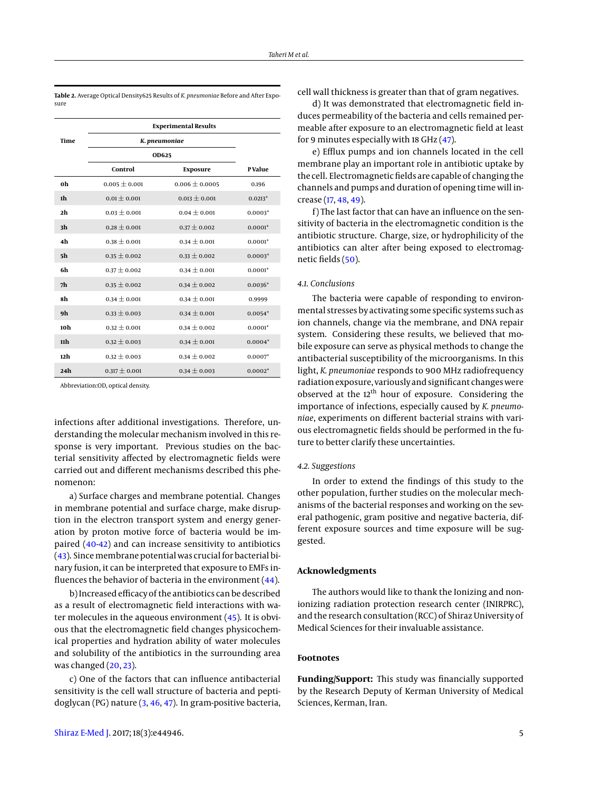|                | Experimental results |                    |           |  |  |  |
|----------------|----------------------|--------------------|-----------|--|--|--|
| Time           | K. pneumoniae        |                    |           |  |  |  |
|                | OD625                |                    |           |  |  |  |
|                | Control              | <b>Exposure</b>    | P Value   |  |  |  |
| 0h             | $0.005 \pm 0.001$    | $0.006 \pm 0.0005$ | 0.196     |  |  |  |
| 1h             | $0.01 \pm 0.001$     | $0.013 \pm 0.001$  | $0.0213*$ |  |  |  |
| 2h             | $0.03 \pm 0.001$     | $0.04 + 0.001$     | $0.0003*$ |  |  |  |
| 3 <sub>h</sub> | $0.28 \pm 0.001$     | $0.37 \pm 0.002$   | $0.0001*$ |  |  |  |
| 4h             | $0.38 \pm 0.001$     | $0.34 \pm 0.001$   | $0.0001*$ |  |  |  |
| 5h             | $0.35 \pm 0.002$     | $0.33 \pm 0.002$   | $0.0003*$ |  |  |  |
| 6h             | $0.37 \pm 0.002$     | $0.34 \pm 0.001$   | $0.0001*$ |  |  |  |
| 7h             | $0.35 \pm 0.002$     | $0.34 \pm 0.002$   | $0.0036*$ |  |  |  |
| 8h             | $0.34 \pm 0.001$     | $0.34 \pm 0.001$   | 0.9999    |  |  |  |
| 9h             | $0.33 \pm 0.003$     | $0.34 \pm 0.001$   | $0.0054*$ |  |  |  |
| 10h            | $0.32 \pm 0.001$     | $0.34 \pm 0.002$   | $0.0001*$ |  |  |  |
| 11h            | $0.32 \pm 0.003$     | $0.34 \pm 0.001$   | $0.0004*$ |  |  |  |
| 12h            | $0.32 \pm 0.003$     | $0.34 \pm 0.002$   | $0.0007*$ |  |  |  |
| 24h            | $0.317 \pm 0.001$    | $0.34 \pm 0.003$   | $0.0002*$ |  |  |  |

<span id="page-4-0"></span>**Table 2.** Average Optical Density625 Results of *K. pneumoniae* Before and After Exposure

**Experimental Results**

Abbreviation:OD, optical density.

infections after additional investigations. Therefore, understanding the molecular mechanism involved in this response is very important. Previous studies on the bacterial sensitivity affected by electromagnetic fields were carried out and different mechanisms described this phenomenon:

a) Surface charges and membrane potential. Changes in membrane potential and surface charge, make disruption in the electron transport system and energy generation by proton motive force of bacteria would be impaired [\(40](#page-6-4)[-42\)](#page-6-5) and can increase sensitivity to antibiotics [\(43\)](#page-6-6). Since membrane potential was crucial for bacterial binary fusion, it can be interpreted that exposure to EMFs influences the behavior of bacteria in the environment  $(44)$ .

b) Increased efficacy of the antibiotics can be described as a result of electromagnetic field interactions with water molecules in the aqueous environment [\(45\)](#page-6-8). It is obvious that the electromagnetic field changes physicochemical properties and hydration ability of water molecules and solubility of the antibiotics in the surrounding area was changed [\(20,](#page-5-18) [23\)](#page-5-19).

c) One of the factors that can influence antibacterial sensitivity is the cell wall structure of bacteria and peptidoglycan (PG) nature [\(3,](#page-5-2) [46,](#page-6-9) [47\)](#page-6-10). In gram-positive bacteria,

[Shiraz E-Med J.](http://emedicalj.com/) 2017; 18(3):e44946. 5

cell wall thickness is greater than that of gram negatives.

d) It was demonstrated that electromagnetic field induces permeability of the bacteria and cells remained permeable after exposure to an electromagnetic field at least for 9 minutes especially with 18 GHz [\(47\)](#page-6-10).

e) Efflux pumps and ion channels located in the cell membrane play an important role in antibiotic uptake by the cell. Electromagnetic fields are capable of changing the channels and pumps and duration of opening time will increase [\(17,](#page-5-15) [48,](#page-6-11) [49\)](#page-6-12).

f) The last factor that can have an influence on the sensitivity of bacteria in the electromagnetic condition is the antibiotic structure. Charge, size, or hydrophilicity of the antibiotics can alter after being exposed to electromagnetic fields [\(50\)](#page-6-13).

## *4.1. Conclusions*

The bacteria were capable of responding to environmental stresses by activating some specific systems such as ion channels, change via the membrane, and DNA repair system. Considering these results, we believed that mobile exposure can serve as physical methods to change the antibacterial susceptibility of the microorganisms. In this light, *K. pneumoniae* responds to 900 MHz radiofrequency radiation exposure, variously and significant changes were observed at the 12<sup>th</sup> hour of exposure. Considering the importance of infections, especially caused by *K. pneumoniae*, experiments on different bacterial strains with various electromagnetic fields should be performed in the future to better clarify these uncertainties.

## *4.2. Suggestions*

In order to extend the findings of this study to the other population, further studies on the molecular mechanisms of the bacterial responses and working on the several pathogenic, gram positive and negative bacteria, different exposure sources and time exposure will be suggested.

#### **Acknowledgments**

The authors would like to thank the Ionizing and nonionizing radiation protection research center (INIRPRC), and the research consultation (RCC) of Shiraz University of Medical Sciences for their invaluable assistance.

#### **Footnotes**

**Funding/Support:** This study was financially supported by the Research Deputy of Kerman University of Medical Sciences, Kerman, Iran.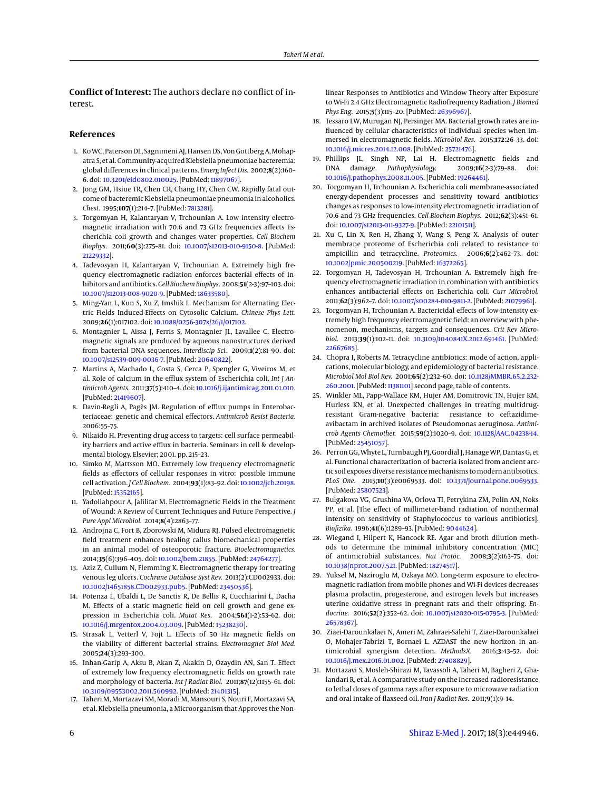**Conflict of Interest:** The authors declare no conflict of interest.

#### **References**

- <span id="page-5-0"></span>1. Ko WC, Paterson DL, Sagnimeni AJ, Hansen DS, Von Gottberg A, Mohapatra S, et al. Community-acquired Klebsiella pneumoniae bacteremia: global differences in clinical patterns. *Emerg Infect Dis.* 2002;**8**(2):160– 6. doi: [10.3201/eid0802.010025.](http://dx.doi.org/10.3201/eid0802.010025) [PubMed: [11897067\]](http://www.ncbi.nlm.nih.gov/pubmed/11897067).
- <span id="page-5-1"></span>2. Jong GM, Hsiue TR, Chen CR, Chang HY, Chen CW. Rapidly fatal outcome of bacteremic Klebsiella pneumoniae pneumonia in alcoholics. *Chest.* 1995;**107**(1):214–7. [PubMed: [7813281\]](http://www.ncbi.nlm.nih.gov/pubmed/7813281).
- <span id="page-5-2"></span>3. Torgomyan H, Kalantaryan V, Trchounian A. Low intensity electromagnetic irradiation with 70.6 and 73 GHz frequencies affects Escherichia coli growth and changes water properties. *Cell Biochem Biophys.* 2011;**60**(3):275–81. doi: [10.1007/s12013-010-9150-8.](http://dx.doi.org/10.1007/s12013-010-9150-8) [PubMed: [21229332\]](http://www.ncbi.nlm.nih.gov/pubmed/21229332).
- <span id="page-5-3"></span>4. Tadevosyan H, Kalantaryan V, Trchounian A. Extremely high frequency electromagnetic radiation enforces bacterial effects of inhibitors and antibiotics.*Cell Biochem Biophys.* 2008;**51**(2-3):97–103. doi: [10.1007/s12013-008-9020-9.](http://dx.doi.org/10.1007/s12013-008-9020-9) [PubMed: [18633580\]](http://www.ncbi.nlm.nih.gov/pubmed/18633580).
- <span id="page-5-4"></span>5. Ming-Yan L, Kun S, Xu Z, Imshik L. Mechanism for Alternating Electric Fields Induced-Effects on Cytosolic Calcium. *Chinese Phys Lett.* 2009;**26**(1):017102. doi: [10.1088/0256-307x/26/1/017102.](http://dx.doi.org/10.1088/0256-307x/26/1/017102)
- <span id="page-5-5"></span>6. Montagnier L, Aissa J, Ferris S, Montagnier JL, Lavallee C. Electromagnetic signals are produced by aqueous nanostructures derived from bacterial DNA sequences. *Interdiscip Sci.* 2009;**1**(2):81–90. doi: [10.1007/s12539-009-0036-7.](http://dx.doi.org/10.1007/s12539-009-0036-7) [PubMed: [20640822\]](http://www.ncbi.nlm.nih.gov/pubmed/20640822).
- <span id="page-5-6"></span>7. Martins A, Machado L, Costa S, Cerca P, Spengler G, Viveiros M, et al. Role of calcium in the efflux system of Escherichia coli. *Int J Antimicrob Agents.* 2011;**37**(5):410–4. doi: [10.1016/j.ijantimicag.2011.01.010.](http://dx.doi.org/10.1016/j.ijantimicag.2011.01.010) [PubMed: [21419607\]](http://www.ncbi.nlm.nih.gov/pubmed/21419607).
- <span id="page-5-7"></span>8. Davin-Regli A, Pagès JM. Regulation of efflux pumps in Enterobacteriaceae: genetic and chemical effectors. *Antimicrob Resist Bacteria.* 2006:55–75.
- <span id="page-5-8"></span>9. Nikaido H. Preventing drug access to targets: cell surface permeability barriers and active efflux in bacteria. Seminars in cell & developmental biology. Elsevier; 2001. pp. 215–23.
- <span id="page-5-9"></span>10. Simko M, Mattsson MO. Extremely low frequency electromagnetic fields as effectors of cellular responses in vitro: possible immune cell activation. *J Cell Biochem.* 2004;**93**(1):83–92. doi: [10.1002/jcb.20198.](http://dx.doi.org/10.1002/jcb.20198) [PubMed: [15352165\]](http://www.ncbi.nlm.nih.gov/pubmed/15352165).
- <span id="page-5-10"></span>11. Yadollahpour A, Jalilifar M. Electromagnetic Fields in the Treatment of Wound: A Review of Current Techniques and Future Perspective. *J Pure Appl Microbiol.* 2014;**8**(4):2863–77.
- 12. Androjna C, Fort B, Zborowski M, Midura RJ. Pulsed electromagnetic field treatment enhances healing callus biomechanical properties in an animal model of osteoporotic fracture. *Bioelectromagnetics.* 2014;**35**(6):396–405. doi: [10.1002/bem.21855.](http://dx.doi.org/10.1002/bem.21855) [PubMed: [24764277\]](http://www.ncbi.nlm.nih.gov/pubmed/24764277).
- <span id="page-5-11"></span>13. Aziz Z, Cullum N, Flemming K. Electromagnetic therapy for treating venous leg ulcers. *Cochrane Database Syst Rev.* 2013(2):CD002933. doi: [10.1002/14651858.CD002933.pub5.](http://dx.doi.org/10.1002/14651858.CD002933.pub5) [PubMed: [23450536\]](http://www.ncbi.nlm.nih.gov/pubmed/23450536).
- <span id="page-5-12"></span>14. Potenza L, Ubaldi L, De Sanctis R, De Bellis R, Cucchiarini L, Dacha M. Effects of a static magnetic field on cell growth and gene expression in Escherichia coli. *Mutat Res.* 2004;**561**(1-2):53–62. doi: [10.1016/j.mrgentox.2004.03.009.](http://dx.doi.org/10.1016/j.mrgentox.2004.03.009) [PubMed: [15238230\]](http://www.ncbi.nlm.nih.gov/pubmed/15238230).
- <span id="page-5-13"></span>15. Strasak L, Vetterl V, Fojt L. Effects of 50 Hz magnetic fields on the viability of different bacterial strains. *Electromagnet Biol Med.* 2005;**24**(3):293–300.
- <span id="page-5-14"></span>16. Inhan-Garip A, Aksu B, Akan Z, Akakin D, Ozaydin AN, San T. Effect of extremely low frequency electromagnetic fields on growth rate and morphology of bacteria. *Int J Radiat Biol.* 2011;**87**(12):1155–61. doi: [10.3109/09553002.2011.560992.](http://dx.doi.org/10.3109/09553002.2011.560992) [PubMed: [21401315\]](http://www.ncbi.nlm.nih.gov/pubmed/21401315).
- <span id="page-5-15"></span>17. Taheri M, Mortazavi SM, Moradi M, Mansouri S, Nouri F, Mortazavi SA, et al. Klebsiella pneumonia, a Microorganism that Approves the Non-

linear Responses to Antibiotics and Window Theory after Exposure to Wi-Fi 2.4 GHz Electromagnetic Radiofrequency Radiation. *J Biomed Phys Eng.* 2015;**5**(3):115–20. [PubMed: [26396967\]](http://www.ncbi.nlm.nih.gov/pubmed/26396967).

- <span id="page-5-16"></span>18. Tessaro LW, Murugan NJ, Persinger MA. Bacterial growth rates are influenced by cellular characteristics of individual species when immersed in electromagnetic fields. *Microbiol Res.* 2015;**172**:26–33. doi: [10.1016/j.micres.2014.12.008.](http://dx.doi.org/10.1016/j.micres.2014.12.008) [PubMed: [25721476\]](http://www.ncbi.nlm.nih.gov/pubmed/25721476).
- <span id="page-5-17"></span>19. Phillips JL, Singh NP, Lai H. Electromagnetic fields and DNA damage. *Pathophysiology.* 2009;**16**(2-3):79–88. doi: [10.1016/j.pathophys.2008.11.005.](http://dx.doi.org/10.1016/j.pathophys.2008.11.005) [PubMed: [19264461\]](http://www.ncbi.nlm.nih.gov/pubmed/19264461).
- <span id="page-5-18"></span>20. Torgomyan H, Trchounian A. Escherichia coli membrane-associated energy-dependent processes and sensitivity toward antibiotics changes as responses to low-intensity electromagnetic irradiation of 70.6 and 73 GHz frequencies. *Cell Biochem Biophys.* 2012;**62**(3):451–61. doi: [10.1007/s12013-011-9327-9.](http://dx.doi.org/10.1007/s12013-011-9327-9) [PubMed: [22101511\]](http://www.ncbi.nlm.nih.gov/pubmed/22101511).
- 21. Xu C, Lin X, Ren H, Zhang Y, Wang S, Peng X. Analysis of outer membrane proteome of Escherichia coli related to resistance to ampicillin and tetracycline. *Proteomics.* 2006;**6**(2):462–73. doi: [10.1002/pmic.200500219.](http://dx.doi.org/10.1002/pmic.200500219) [PubMed: [16372265\]](http://www.ncbi.nlm.nih.gov/pubmed/16372265).
- <span id="page-5-22"></span>22. Torgomyan H, Tadevosyan H, Trchounian A. Extremely high frequency electromagnetic irradiation in combination with antibiotics enhances antibacterial effects on Escherichia coli. *Curr Microbiol.* 2011;**62**(3):962–7. doi: [10.1007/s00284-010-9811-2.](http://dx.doi.org/10.1007/s00284-010-9811-2) [PubMed: [21079961\]](http://www.ncbi.nlm.nih.gov/pubmed/21079961).
- <span id="page-5-19"></span>23. Torgomyan H, Trchounian A. Bactericidal effects of low-intensity extremely high frequency electromagnetic field: an overview with phenomenon, mechanisms, targets and consequences. *Crit Rev Microbiol.* 2013;**39**(1):102–11. doi: [10.3109/1040841X.2012.691461.](http://dx.doi.org/10.3109/1040841X.2012.691461) [PubMed: [22667685\]](http://www.ncbi.nlm.nih.gov/pubmed/22667685).
- <span id="page-5-20"></span>24. Chopra I, Roberts M. Tetracycline antibiotics: mode of action, applications, molecular biology, and epidemiology of bacterial resistance. *Microbiol Mol Biol Rev.* 2001;**65**(2):232–60. doi: [10.1128/MMBR.65.2.232-](http://dx.doi.org/10.1128/MMBR.65.2.232-260.2001) [260.2001.](http://dx.doi.org/10.1128/MMBR.65.2.232-260.2001) [PubMed: [11381101\]](http://www.ncbi.nlm.nih.gov/pubmed/11381101) second page, table of contents.
- 25. Winkler ML, Papp-Wallace KM, Hujer AM, Domitrovic TN, Hujer KM, Hurless KN, et al. Unexpected challenges in treating multidrugresistant Gram-negative bacteria: resistance to ceftazidimeavibactam in archived isolates of Pseudomonas aeruginosa. *Antimicrob Agents Chemother.* 2015;**59**(2):1020–9. doi: [10.1128/AAC.04238-14.](http://dx.doi.org/10.1128/AAC.04238-14) [PubMed: [25451057\]](http://www.ncbi.nlm.nih.gov/pubmed/25451057).
- <span id="page-5-21"></span>26. Perron GG, Whyte L, Turnbaugh PJ, Goordial J, Hanage WP, Dantas G, et al. Functional characterization of bacteria isolated from ancient arctic soil exposes diverse resistance mechanisms to modern antibiotics. *PLoS One.* 2015;**10**(3):e0069533. doi: [10.1371/journal.pone.0069533.](http://dx.doi.org/10.1371/journal.pone.0069533) [PubMed: [25807523\]](http://www.ncbi.nlm.nih.gov/pubmed/25807523).
- <span id="page-5-23"></span>27. Bulgakova VG, Grushina VA, Orlova TI, Petrykina ZM, Polin AN, Noks PP, et al. [The effect of millimeter-band radiation of nonthermal intensity on sensitivity of Staphylococcus to various antibiotics]. *Biofizika.* 1996;**41**(6):1289–93. [PubMed: [9044624\]](http://www.ncbi.nlm.nih.gov/pubmed/9044624).
- <span id="page-5-24"></span>28. Wiegand I, Hilpert K, Hancock RE. Agar and broth dilution methods to determine the minimal inhibitory concentration (MIC) of antimicrobial substances. *Nat Protoc.* 2008;**3**(2):163–75. doi: [10.1038/nprot.2007.521.](http://dx.doi.org/10.1038/nprot.2007.521) [PubMed: [18274517\]](http://www.ncbi.nlm.nih.gov/pubmed/18274517).
- <span id="page-5-25"></span>29. Yuksel M, Naziroglu M, Ozkaya MO. Long-term exposure to electromagnetic radiation from mobile phones and Wi-Fi devices decreases plasma prolactin, progesterone, and estrogen levels but increases uterine oxidative stress in pregnant rats and their offspring. *Endocrine.* 2016;**52**(2):352–62. doi: [10.1007/s12020-015-0795-3.](http://dx.doi.org/10.1007/s12020-015-0795-3) [PubMed: [26578367\]](http://www.ncbi.nlm.nih.gov/pubmed/26578367).
- <span id="page-5-26"></span>30. Ziaei-Darounkalaei N, Ameri M, Zahraei-Salehi T, Ziaei-Darounkalaei O, Mohajer-Tabrizi T, Bornaei L. AZDAST the new horizon in antimicrobial synergism detection. *MethodsX.* 2016;**3**:43–52. doi: [10.1016/j.mex.2016.01.002.](http://dx.doi.org/10.1016/j.mex.2016.01.002) [PubMed: [27408829\]](http://www.ncbi.nlm.nih.gov/pubmed/27408829).
- <span id="page-5-27"></span>31. Mortazavi S, Mosleh-Shirazi M, Tavassoli A, Taheri M, Bagheri Z, Ghalandari R, et al. A comparative study on the increased radioresistance to lethal doses of gamma rays after exposure to microwave radiation and oral intake of flaxseed oil. *Iran J Radiat Res.* 2011;**9**(1):9–14.